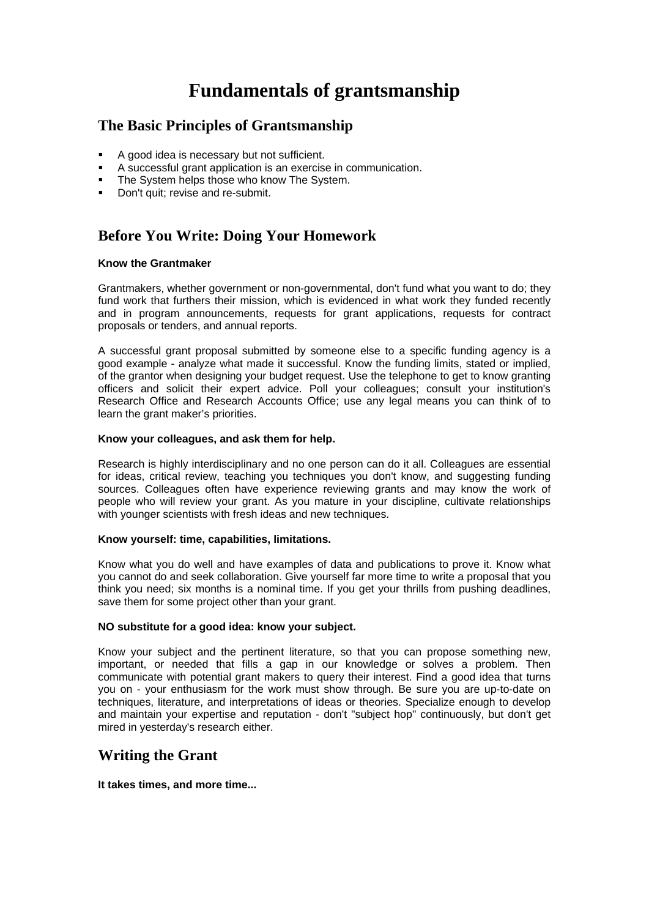# **Fundamentals of grantsmanship**

## **The Basic Principles of Grantsmanship**

- A good idea is necessary but not sufficient.
- A successful grant application is an exercise in communication.
- The System helps those who know The System.
- Don't quit; revise and re-submit.

# **Before You Write: Doing Your Homework**

#### **Know the Grantmaker**

Grantmakers, whether government or non-governmental, don't fund what you want to do; they fund work that furthers their mission, which is evidenced in what work they funded recently and in program announcements, requests for grant applications, requests for contract proposals or tenders, and annual reports.

A successful grant proposal submitted by someone else to a specific funding agency is a good example - analyze what made it successful. Know the funding limits, stated or implied, of the grantor when designing your budget request. Use the telephone to get to know granting officers and solicit their expert advice. Poll your colleagues; consult your institution's Research Office and Research Accounts Office; use any legal means you can think of to learn the grant maker's priorities.

#### **Know your colleagues, and ask them for help.**

Research is highly interdisciplinary and no one person can do it all. Colleagues are essential for ideas, critical review, teaching you techniques you don't know, and suggesting funding sources. Colleagues often have experience reviewing grants and may know the work of people who will review your grant. As you mature in your discipline, cultivate relationships with younger scientists with fresh ideas and new techniques.

#### **Know yourself: time, capabilities, limitations.**

Know what you do well and have examples of data and publications to prove it. Know what you cannot do and seek collaboration. Give yourself far more time to write a proposal that you think you need; six months is a nominal time. If you get your thrills from pushing deadlines, save them for some project other than your grant.

#### **NO substitute for a good idea: know your subject.**

Know your subject and the pertinent literature, so that you can propose something new, important, or needed that fills a gap in our knowledge or solves a problem. Then communicate with potential grant makers to query their interest. Find a good idea that turns you on - your enthusiasm for the work must show through. Be sure you are up-to-date on techniques, literature, and interpretations of ideas or theories. Specialize enough to develop and maintain your expertise and reputation - don't "subject hop" continuously, but don't get mired in yesterday's research either.

### **Writing the Grant**

#### **It takes times, and more time...**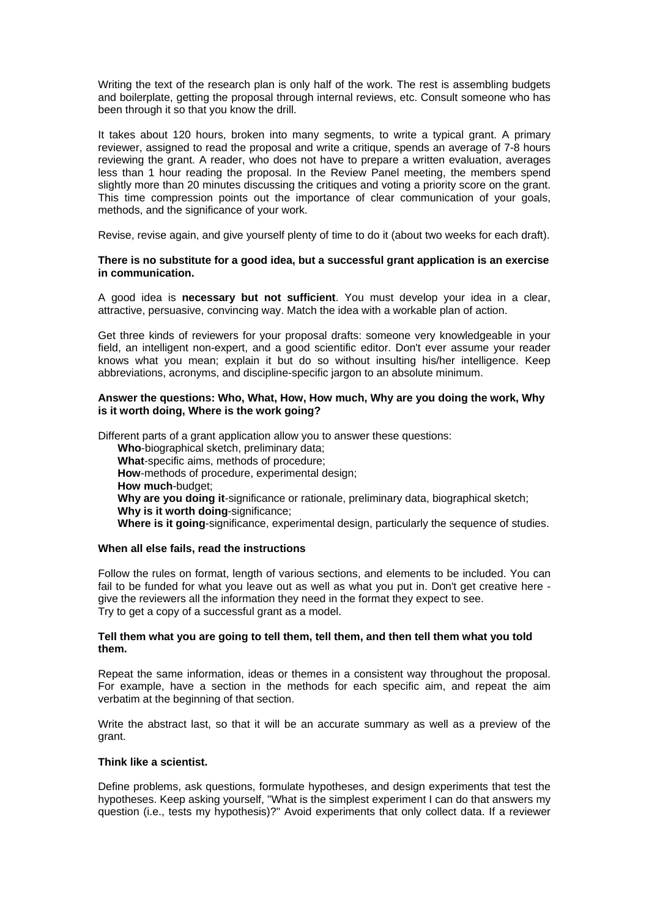Writing the text of the research plan is only half of the work. The rest is assembling budgets and boilerplate, getting the proposal through internal reviews, etc. Consult someone who has been through it so that you know the drill.

It takes about 120 hours, broken into many segments, to write a typical grant. A primary reviewer, assigned to read the proposal and write a critique, spends an average of 7-8 hours reviewing the grant. A reader, who does not have to prepare a written evaluation, averages less than 1 hour reading the proposal. In the Review Panel meeting, the members spend slightly more than 20 minutes discussing the critiques and voting a priority score on the grant. This time compression points out the importance of clear communication of your goals, methods, and the significance of your work.

Revise, revise again, and give yourself plenty of time to do it (about two weeks for each draft).

#### **There is no substitute for a good idea, but a successful grant application is an exercise in communication.**

A good idea is **necessary but not sufficient**. You must develop your idea in a clear, attractive, persuasive, convincing way. Match the idea with a workable plan of action.

Get three kinds of reviewers for your proposal drafts: someone very knowledgeable in your field, an intelligent non-expert, and a good scientific editor. Don't ever assume your reader knows what you mean; explain it but do so without insulting his/her intelligence. Keep abbreviations, acronyms, and discipline-specific jargon to an absolute minimum.

#### **Answer the questions: Who, What, How, How much, Why are you doing the work, Why is it worth doing, Where is the work going?**

Different parts of a grant application allow you to answer these questions: **Who**-biographical sketch, preliminary data; **What**-specific aims, methods of procedure; **How**-methods of procedure, experimental design; **How much**-budget; **Why are you doing it**-significance or rationale, preliminary data, biographical sketch; **Why is it worth doing-significance: Where is it going**-significance, experimental design, particularly the sequence of studies.

#### **When all else fails, read the instructions**

Follow the rules on format, length of various sections, and elements to be included. You can fail to be funded for what you leave out as well as what you put in. Don't get creative here give the reviewers all the information they need in the format they expect to see. Try to get a copy of a successful grant as a model.

#### **Tell them what you are going to tell them, tell them, and then tell them what you told them.**

Repeat the same information, ideas or themes in a consistent way throughout the proposal. For example, have a section in the methods for each specific aim, and repeat the aim verbatim at the beginning of that section.

Write the abstract last, so that it will be an accurate summary as well as a preview of the grant.

#### **Think like a scientist.**

Define problems, ask questions, formulate hypotheses, and design experiments that test the hypotheses. Keep asking yourself, "What is the simplest experiment I can do that answers my question (i.e., tests my hypothesis)?" Avoid experiments that only collect data. If a reviewer